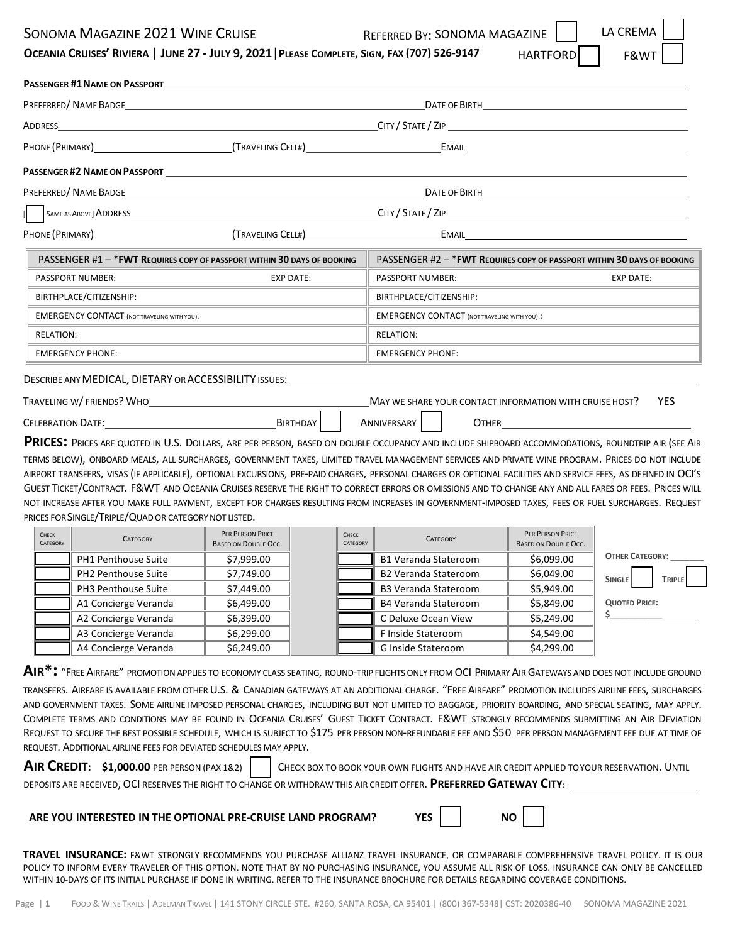## SONOMA MAGAZINE 2021 WINE CRUISE **REFERRED BY: SONOMA MAGAZINE**

HARTFORD

**LA CREM** 

|  |  | OCEANIA CRUISES' RIVIERA   JUNE 27 - JULY 9, 2021   PLEASE COMPLETE, SIGN, FAX (707) 526-9147 | HARTFORD |  | F&WT |
|--|--|-----------------------------------------------------------------------------------------------|----------|--|------|
|--|--|-----------------------------------------------------------------------------------------------|----------|--|------|

|                          |                                                                                                                                                                                                                                                                                                                                                                                                                                                                                                                                                                                                                                                                                              |                                                        | <b>PASSENGER #1 NAME ON PASSPORT SEXUALLY ASSENGER ASSENGER #1 NAME ON PASSPORT</b> |                                                                          |                                                         |                        |               |  |
|--------------------------|----------------------------------------------------------------------------------------------------------------------------------------------------------------------------------------------------------------------------------------------------------------------------------------------------------------------------------------------------------------------------------------------------------------------------------------------------------------------------------------------------------------------------------------------------------------------------------------------------------------------------------------------------------------------------------------------|--------------------------------------------------------|-------------------------------------------------------------------------------------|--------------------------------------------------------------------------|---------------------------------------------------------|------------------------|---------------|--|
|                          |                                                                                                                                                                                                                                                                                                                                                                                                                                                                                                                                                                                                                                                                                              |                                                        |                                                                                     |                                                                          |                                                         |                        |               |  |
| ADDRESS                  |                                                                                                                                                                                                                                                                                                                                                                                                                                                                                                                                                                                                                                                                                              |                                                        | $C$ ITY / STATE / ZIP $\overline{\phantom{a}}$                                      |                                                                          |                                                         |                        |               |  |
|                          |                                                                                                                                                                                                                                                                                                                                                                                                                                                                                                                                                                                                                                                                                              | EMAIL <b>EXAMPLE AND STATE OF STATE AND STATE</b>      |                                                                                     |                                                                          |                                                         |                        |               |  |
|                          | <b>PASSENGER #2 NAME ON PASSPORT CONTRACTED ASSENGER ASSENGER #2 NAME ON PASSPORT</b>                                                                                                                                                                                                                                                                                                                                                                                                                                                                                                                                                                                                        |                                                        |                                                                                     |                                                                          |                                                         |                        |               |  |
|                          | PREFERRED/NAME BADGE NAME AND THE OFFICIAL SERVICE OF BIRTH AND THE OFFICIAL SERVICE OF BIRTH                                                                                                                                                                                                                                                                                                                                                                                                                                                                                                                                                                                                |                                                        |                                                                                     |                                                                          |                                                         |                        |               |  |
|                          |                                                                                                                                                                                                                                                                                                                                                                                                                                                                                                                                                                                                                                                                                              |                                                        |                                                                                     |                                                                          |                                                         |                        |               |  |
|                          | PHONE (PRIMARY) CHARGE (TRAVELING CELL#) CHARGE (TRAVELING CELL#) CHARGE CHARGE EMAIL                                                                                                                                                                                                                                                                                                                                                                                                                                                                                                                                                                                                        |                                                        |                                                                                     |                                                                          |                                                         |                        |               |  |
|                          | PASSENGER #1 - * FWT REQUIRES COPY OF PASSPORT WITHIN 30 DAYS OF BOOKING                                                                                                                                                                                                                                                                                                                                                                                                                                                                                                                                                                                                                     |                                                        |                                                                                     | PASSENGER #2 - * FWT REQUIRES COPY OF PASSPORT WITHIN 30 DAYS OF BOOKING |                                                         |                        |               |  |
|                          | PASSPORT NUMBER:                                                                                                                                                                                                                                                                                                                                                                                                                                                                                                                                                                                                                                                                             | <b>EXP DATE:</b>                                       |                                                                                     | PASSPORT NUMBER:                                                         |                                                         | <b>EXP DATE:</b>       |               |  |
|                          | BIRTHPLACE/CITIZENSHIP:                                                                                                                                                                                                                                                                                                                                                                                                                                                                                                                                                                                                                                                                      |                                                        |                                                                                     | BIRTHPLACE/CITIZENSHIP:                                                  |                                                         |                        |               |  |
|                          | <b>EMERGENCY CONTACT (NOT TRAVELING WITH YOU):</b>                                                                                                                                                                                                                                                                                                                                                                                                                                                                                                                                                                                                                                           |                                                        |                                                                                     | <b>EMERGENCY CONTACT (NOT TRAVELING WITH YOU)::</b>                      |                                                         |                        |               |  |
| <b>RELATION:</b>         |                                                                                                                                                                                                                                                                                                                                                                                                                                                                                                                                                                                                                                                                                              |                                                        |                                                                                     | <b>RELATION:</b>                                                         |                                                         |                        |               |  |
|                          | <b>EMERGENCY PHONE:</b>                                                                                                                                                                                                                                                                                                                                                                                                                                                                                                                                                                                                                                                                      |                                                        |                                                                                     | <b>EMERGENCY PHONE:</b>                                                  |                                                         |                        |               |  |
|                          | DESCRIBE ANY MEDICAL, DIETARY OR ACCESSIBILITY ISSUES: UNITSIDED AND THE DESCRIBE ANY<br>TRAVELING W/FRIENDS? WHO                                                                                                                                                                                                                                                                                                                                                                                                                                                                                                                                                                            |                                                        |                                                                                     |                                                                          | MAY WE SHARE YOUR CONTACT INFORMATION WITH CRUISE HOST? |                        | <b>YES</b>    |  |
|                          |                                                                                                                                                                                                                                                                                                                                                                                                                                                                                                                                                                                                                                                                                              |                                                        |                                                                                     |                                                                          |                                                         |                        |               |  |
|                          | CELEBRATION DATE: BIRTHDAY                                                                                                                                                                                                                                                                                                                                                                                                                                                                                                                                                                                                                                                                   |                                                        |                                                                                     | ANNIVERSARY                                                              | <b>OTHER CONSTRUCTER</b>                                |                        |               |  |
|                          | PRICES: PRICES ARE QUOTED IN U.S. DOLLARS, ARE PER PERSON, BASED ON DOUBLE OCCUPANCY AND INCLUDE SHIPBOARD ACCOMMODATIONS, ROUNDTRIP AIR (SEE AIR                                                                                                                                                                                                                                                                                                                                                                                                                                                                                                                                            |                                                        |                                                                                     |                                                                          |                                                         |                        |               |  |
|                          | TERMS BELOW), ONBOARD MEALS, ALL SURCHARGES, GOVERNMENT TAXES, LIMITED TRAVEL MANAGEMENT SERVICES AND PRIVATE WINE PROGRAM. PRICES DO NOT INCLUDE<br>AIRPORT TRANSFERS, VISAS (IF APPLICABLE), OPTIONAL EXCURSIONS, PRE-PAID CHARGES, PERSONAL CHARGES OR OPTIONAL FACILITIES AND SERVICE FEES, AS DEFINED IN OCI'S<br>GUEST TICKET/CONTRACT. F&WT AND OCEANIA CRUISES RESERVE THE RIGHT TO CORRECT ERRORS OR OMISSIONS AND TO CHANGE ANY AND ALL FARES OR FEES. PRICES WILL<br>NOT INCREASE AFTER YOU MAKE FULL PAYMENT, EXCEPT FOR CHARGES RESULTING FROM INCREASES IN GOVERNMENT-IMPOSED TAXES, FEES OR FUEL SURCHARGES. REQUEST<br>PRICES FOR SINGLE/TRIPLE/QUAD OR CATEGORY NOT LISTED. |                                                        |                                                                                     |                                                                          |                                                         |                        |               |  |
| <b>CHECK</b><br>CATEGORY | <b>CATEGORY</b>                                                                                                                                                                                                                                                                                                                                                                                                                                                                                                                                                                                                                                                                              | <b>PER PERSON PRICE</b><br><b>BASED ON DOUBLE OCC.</b> | <b>CHECK</b><br><b>CATEGORY</b>                                                     | <b>CATEGORY</b>                                                          | PER PERSON PRICE<br><b>BASED ON DOUBLE OCC.</b>         |                        |               |  |
|                          | PH1 Penthouse Suite                                                                                                                                                                                                                                                                                                                                                                                                                                                                                                                                                                                                                                                                          | \$7,999.00                                             |                                                                                     | <b>B1 Veranda Stateroom</b>                                              | \$6,099.00                                              | <b>OTHER CATEGORY:</b> |               |  |
|                          | <b>PH2 Penthouse Suite</b>                                                                                                                                                                                                                                                                                                                                                                                                                                                                                                                                                                                                                                                                   | \$7,749.00                                             |                                                                                     | <b>B2 Veranda Stateroom</b>                                              | \$6,049.00                                              |                        |               |  |
|                          | <b>PH3 Penthouse Suite</b>                                                                                                                                                                                                                                                                                                                                                                                                                                                                                                                                                                                                                                                                   | \$7,449.00                                             |                                                                                     | <b>B3 Veranda Stateroom</b>                                              | \$5,949.00                                              | <b>SINGLE</b>          | <b>TRIPLE</b> |  |
|                          | A1 Concierge Veranda                                                                                                                                                                                                                                                                                                                                                                                                                                                                                                                                                                                                                                                                         | \$6,499.00                                             |                                                                                     | <b>B4 Veranda Stateroom</b>                                              | \$5,849.00                                              | <b>QUOTED PRICE:</b>   |               |  |
|                          | A2 Concierge Veranda                                                                                                                                                                                                                                                                                                                                                                                                                                                                                                                                                                                                                                                                         | \$6,399.00                                             |                                                                                     | C Deluxe Ocean View                                                      | \$5,249.00                                              | \$___                  |               |  |
|                          | A3 Concierge Veranda                                                                                                                                                                                                                                                                                                                                                                                                                                                                                                                                                                                                                                                                         | \$6,299.00                                             |                                                                                     | F Inside Stateroom                                                       | \$4,549.00                                              |                        |               |  |

TRANSFERS. AIRFARE IS AVAILABLE FROM OTHER U.S. & CANADIAN GATEWAYS AT AN ADDITIONAL CHARGE. "FREE AIRFARE" PROMOTION INCLUDES AIRLINE FEES, SURCHARGES AND GOVERNMENT TAXES. SOME AIRLINE IMPOSED PERSONAL CHARGES, INCLUDING BUT NOT LIMITED TO BAGGAGE, PRIORITY BOARDING, AND SPECIAL SEATING, MAY APPLY. COMPLETE TERMS AND CONDITIONS MAY BE FOUND IN OCEANIA CRUISES' GUEST TICKET CONTRACT. F&WT STRONGLY RECOMMENDS SUBMITTING AN AIR DEVIATION REQUEST TO SECURE THE BEST POSSIBLE SCHEDULE, WHICH IS SUBJECT TO \$175 PER PERSON NON-REFUNDABLE FEE AND \$50 PER PERSON MANAGEMENT FEE DUE AT TIME OF

REQUEST. ADDITIONAL AIRLINE FEES FOR DEVIATED SCHEDULES MAY APPLY.

| AIR CREDIT: $$1,000.00$ PER PERSON (PAX 1&2) | CHECK BOX TO BOOK YOUR OWN FLIGHTS AND HAVE AIR CREDIT APPLIED TOYOUR RESERVATION. UNTIL                           |
|----------------------------------------------|--------------------------------------------------------------------------------------------------------------------|
|                                              | DEPOSITS ARE RECEIVED, OCI RESERVES THE RIGHT TO CHANGE OR WITHDRAW THIS AIR CREDIT OFFER. PREFERRED GATEWAY CITY: |

## **ARE YOU INTERESTED IN THE OPTIONAL PRE-CRUISE LAND PROGRAM? YES** | | NO

**TRAVEL INSURANCE:** F&WT STRONGLY RECOMMENDS YOU PURCHASE ALLIANZ TRAVEL INSURANCE, OR COMPARABLE COMPREHENSIVE TRAVEL POLICY. IT IS OUR POLICY TO INFORM EVERY TRAVELER OF THIS OPTION. NOTE THAT BY NO PURCHASING INSURANCE, YOU ASSUME ALL RISK OF LOSS. INSURANCE CAN ONLY BE CANCELLED WITHIN 10-DAYS OF ITS INITIAL PURCHASE IF DONE IN WRITING. REFER TO THE INSURANCE BROCHURE FOR DETAILS REGARDING COVERAGE CONDITIONS.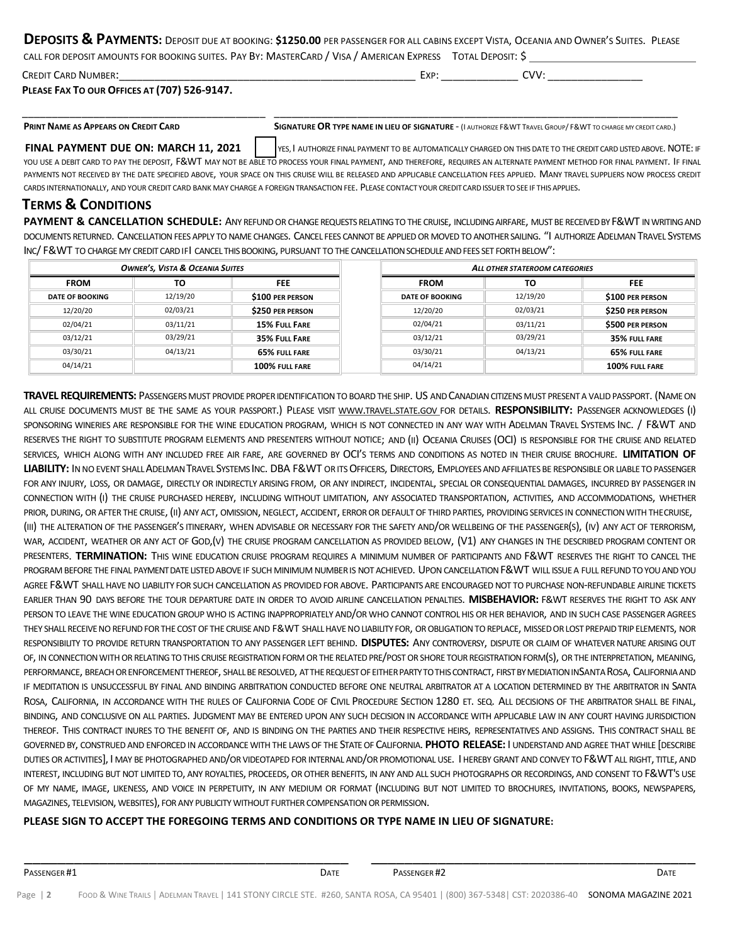### **DEPOSITS & PAYMENTS:** DEPOSIT DUE AT BOOKING: **\$1250.00** PER PASSENGER FOR ALL CABINS EXCEPT VISTA, OCEANIA AND OWNER'<sup>S</sup> SUITES. PLEASE CALL FOR DEPOSIT AMOUNTS FOR BOOKING SUITES. PAY BY: MASTERCARD / VISA / AMERICAN EXPRESS TOTAL DEPOSIT: \$

| CALL FOR DEPOSIT AMOUNTS FOR BOOKING SUITES. PAY BY: MIASTERCARD / VISA / AMERICAN EXPRESS TOTAL DEPOSIT: 5 |      |      |
|-------------------------------------------------------------------------------------------------------------|------|------|
| <b>CREDIT CARD NUMBER:</b>                                                                                  | Exp: | CVV: |

**PLEASE FAX TO OUR OFFICES AT (707) 526-9147.** 

\_\_\_\_\_\_\_\_\_\_\_\_\_\_\_\_\_\_\_\_\_\_\_\_\_\_\_\_\_\_\_\_\_\_\_\_\_\_\_\_\_ \_\_\_\_\_\_\_\_\_\_\_\_\_\_\_\_\_\_\_\_\_\_\_\_\_\_\_\_\_\_\_\_\_\_\_\_\_\_\_\_\_\_\_\_\_\_\_\_\_\_\_\_\_\_\_\_\_\_\_\_\_\_\_\_\_\_\_\_

PRINT NAME AS APPEARS ON CREDIT CARD SIGNATURE OR TYPE NAME IN LIEU OF SIGNATURE - (I AUTHORIZE F&WT TRAVEL GROUP/ F&WT TO CHARGE MY CREDIT CARD.)

**FINAL PAYMENT DUE ON: MARCH 11, 2021**  $\vert$  yes. I authorize final payment to be automatically charged on this date to the credit card usted above. NOTE: if YOU USE A DEBIT CARD TO PAY THE DEPOSIT, F&WT MAY NOT BE ABLE TO PROCESS YOUR FINAL PAYMENT, AND THEREFORE, REQUIRES AN ALTERNATE PAYMENT METHOD FOR FINAL PAYMENT. IF FINAL PAYMENTS NOT RECEIVED BY THE DATE SPECIFIED ABOVE, YOUR SPACE ON THIS CRUISE WILL BE RELEASED AND APPLICABLE CANCELLATION FEES APPLIED. MANY TRAVEL SUPPLIERS NOW PROCESS CREDIT CARDS INTERNATIONALLY, AND YOUR CREDIT CARD BANK MAY CHARGE A FOREIGN TRANSACTION FEE. PLEASE CONTACT YOUR CREDITCARDISSUERTOSEE IF THIS APPLIES.

# **TERMS & CONDITIONS**

**PAYMENT & CANCELLATION SCHEDULE:** ANY REFUND OR CHANGE REQUESTS RELATING TO THE CRUISE, INCLUDING AIRFARE, MUST BE RECEIVED BY F&WT IN WRITING AND DOCUMENTS RETURNED. CANCELLATION FEES APPLY TO NAME CHANGES. CANCEL FEES CANNOT BE APPLIED OR MOVED TO ANOTHER SAILING. "I AUTHORIZE ADELMAN TRAVEL SYSTEMS INC/ F&WT TO CHARGE MY CREDIT CARD IFI CANCEL THIS BOOKING, PURSUANT TO THE CANCELLATION SCHEDULE AND FEES SET FORTH BELOW":

| <b>OWNER'S, VISTA &amp; OCEANIA SUITES</b> |          | ALL OTHER STATEROOM CATEGORIES |                        |          |                         |
|--------------------------------------------|----------|--------------------------------|------------------------|----------|-------------------------|
| <b>FROM</b>                                | то       | <b>FEE</b>                     | <b>FROM</b>            | τо       | <b>FEE</b>              |
| <b>DATE OF BOOKING</b>                     | 12/19/20 | \$100 PER PERSON               | <b>DATE OF BOOKING</b> | 12/19/20 | \$100 PER PERSON        |
| 12/20/20                                   | 02/03/21 | <b>\$250 PER PERSON</b>        | 12/20/20               | 02/03/21 | \$250 PER PERSON        |
| 02/04/21                                   | 03/11/21 | <b>15% FULL FARE</b>           | 02/04/21               | 03/11/21 | <b>\$500 PER PERSON</b> |
| 03/12/21                                   | 03/29/21 | 35% FULL FARE                  | 03/12/21               | 03/29/21 | 35% FULL FARE           |
| 03/30/21                                   | 04/13/21 | 65% FULL FARE                  | 03/30/21               | 04/13/21 | 65% FULL FARE           |
| 04/14/21                                   |          | 100% FULL FARE                 | 04/14/21               |          | 100% FULL FARE          |

**TRAVEL REQUIREMENTS:** PASSENGERSMUST PROVIDE PROPERIDENTIFICATIONTOBOARDTHE SHIP. US ANDCANADIANCITIZENSMUST PRESENT A VALIDPASSPORT. (NAMEON ALL CRUISE DOCUMENTS MUST BE THE SAME AS YOUR PASSPORT.) PLEASE VISIT WWW.TRAVEL.STATE.GOV FOR DETAILS. **RESPONSIBILITY:** PASSENGER ACKNOWLEDGES (I) SPONSORING WINERIES ARE RESPONSIBLE FOR THE WINE EDUCATION PROGRAM, WHICH IS NOT CONNECTED IN ANY WAY WITH ADELMAN TRAVEL SYSTEMS INC. / F&WT AND RESERVES THE RIGHT TO SUBSTITUTE PROGRAM ELEMENTS AND PRESENTERS WITHOUT NOTICE; AND (II) OCEANIA CRUISES (OCI) IS RESPONSIBLE FOR THE CRUISE AND RELATED SERVICES, WHICH ALONG WITH ANY INCLUDED FREE AIR FARE, ARE GOVERNED BY OCI'S TERMS AND CONDITIONS AS NOTED IN THEIR CRUISE BROCHURE. **LIMITATION OF**  LIABILITY: IN NO EVENT SHALL ADELMAN TRAVEL SYSTEMS INC. DBA F&WT OR ITS OFFICERS. DIRECTORS, EMPLOYEES AND AFFILIATES BE RESPONSIBLE OR LIABLE TO PASSENGER FOR ANY INJURY, LOSS, OR DAMAGE, DIRECTLY OR INDIRECTLY ARISING FROM, OR ANY INDIRECT, INCIDENTAL, SPECIAL OR CONSEQUENTIAL DAMAGES, INCURRED BY PASSENGER IN CONNECTION WITH (I) THE CRUISE PURCHASED HEREBY, INCLUDING WITHOUT LIMITATION, ANY ASSOCIATED TRANSPORTATION, ACTIVITIES, AND ACCOMMODATIONS, WHETHER PRIOR, DURING, OR AFTER THE CRUISE, (II) ANY ACT, OMISSION, NEGLECT, ACCIDENT, ERROR OR DEFAULT OF THIRD PARTIES, PROVIDING SERVICES IN CONNECTION WITH THECRUISE, (III) THE ALTERATION OF THE PASSENGER'S ITINERARY, WHEN ADVISABLE OR NECESSARY FOR THE SAFETY AND/OR WELLBEING OF THE PASSENGER(S), (IV) ANY ACT OF TERRORISM, WAR, ACCIDENT, WEATHER OR ANY ACT OF GOD,(V) THE CRUISE PROGRAM CANCELLATION AS PROVIDED BELOW, (V1) ANY CHANGES IN THE DESCRIBED PROGRAM CONTENT OR PRESENTERS. **TERMINATION:** THIS WINE EDUCATION CRUISE PROGRAM REQUIRES A MINIMUM NUMBER OF PARTICIPANTS AND F&WT RESERVES THE RIGHT TO CANCEL THE PROGRAM BEFORE THE FINAL PAYMENT DATE LISTED ABOVE IF SUCH MINIMUM NUMBER IS NOT ACHIEVED. UPON CANCELLATION F&WT WILL ISSUE A FULL REFUND TO YOU AND YOU AGREE F&WT SHALL HAVE NO LIABILITY FOR SUCH CANCELLATION AS PROVIDED FOR ABOVE. PARTICIPANTS ARE ENCOURAGED NOT TO PURCHASE NON-REFUNDABLE AIRLINE TICKETS EARLIER THAN 90 DAYS BEFORE THE TOUR DEPARTURE DATE IN ORDER TO AVOID AIRLINE CANCELLATION PENALTIES. **MISBEHAVIOR:** F&WT RESERVES THE RIGHT TO ASK ANY PERSON TO LEAVE THE WINE EDUCATION GROUP WHO IS ACTING INAPPROPRIATELY AND/OR WHO CANNOT CONTROL HIS OR HER BEHAVIOR, AND IN SUCH CASE PASSENGER AGREES THEY SHALL RECEIVE NO REFUND FOR THE COST OF THE CRUISE AND F&WT SHALL HAVE NO LIABILITY FOR, OR OBLIGATION TO REPLACE, MISSED OR LOST PREPAID TRIP ELEMENTS, NOR RESPONSIBILITY TO PROVIDE RETURN TRANSPORTATION TO ANY PASSENGER LEFT BEHIND. **DISPUTES:** ANY CONTROVERSY, DISPUTE OR CLAIM OF WHATEVER NATURE ARISING OUT OF, IN CONNECTION WITH OR RELATING TO THIS CRUISE REGISTRATION FORM OR THE RELATED PRE/POST OR SHORE TOUR REGISTRATION FORM(S), OR THE INTERPRETATION. MEANING. PERFORMANCE, BREACH OR ENFORCEMENT THEREOF, SHALL BE RESOLVED, AT THE REQUEST OF EITHER PARTY TO THIS CONTRACT, FIRST BY MEDIATION INSANTA ROSA, CALIFORNIA AND IF MEDITATION IS UNSUCCESSFUL BY FINAL AND BINDING ARBITRATION CONDUCTED BEFORE ONE NEUTRAL ARBITRATOR AT A LOCATION DETERMINED BY THE ARBITRATOR IN SANTA ROSA, CALIFORNIA, IN ACCORDANCE WITH THE RULES OF CALIFORNIA CODE OF CIVIL PROCEDURE SECTION 1280 ET. SEQ. ALL DECISIONS OF THE ARBITRATOR SHALL BE FINAL, BINDING, AND CONCLUSIVE ON ALL PARTIES. JUDGMENT MAY BE ENTERED UPON ANY SUCH DECISION IN ACCORDANCE WITH APPLICABLE LAW IN ANY COURT HAVING JURISDICTION THEREOF. THIS CONTRACT INURES TO THE BENEFIT OF, AND IS BINDING ON THE PARTIES AND THEIR RESPECTIVE HEIRS, REPRESENTATIVES AND ASSIGNS. THIS CONTRACT SHALL BE GOVERNED BY, CONSTRUED AND ENFORCED IN ACCORDANCEWITH THE LAWSOF THE STATEOFCALIFORNIA. **PHOTO RELEASE:** I UNDERSTAND AND AGREE THAT WHILE [DESCRIBE DUTIES OR ACTIVITIES], I MAY BE PHOTOGRAPHED AND/OR VIDEOTAPED FOR INTERNAL AND/OR PROMOTIONAL USE. I HEREBY GRANT AND CONVEY TO F&WT ALL RIGHT, TITLE, AND INTEREST, INCLUDING BUT NOT LIMITED TO, ANY ROYALTIES, PROCEEDS, OR OTHER BENEFITS, IN ANY AND ALL SUCH PHOTOGRAPHS OR RECORDINGS, AND CONSENT TO F&WT'S USE OF MY NAME, IMAGE, LIKENESS, AND VOICE IN PERPETUITY, IN ANY MEDIUM OR FORMAT (INCLUDING BUT NOT LIMITED TO BROCHURES, INVITATIONS, BOOKS, NEWSPAPERS, MAGAZINES, TELEVISION, WEBSITES), FOR ANY PUBLICITY WITHOUT FURTHER COMPENSATION OR PERMISSION.

## **PLEASE SIGN TO ACCEPT THE FOREGOING TERMS AND CONDITIONS OR TYPE NAME IN LIEU OF SIGNATURE:**

\_\_\_\_\_\_\_\_\_\_\_\_\_\_\_\_\_\_\_\_\_\_\_\_\_\_\_\_\_\_\_\_\_\_\_\_\_\_\_ \_\_\_\_\_\_\_\_\_\_\_\_\_\_\_\_\_\_\_\_\_\_\_\_\_\_\_\_\_\_\_\_\_\_\_\_\_\_\_